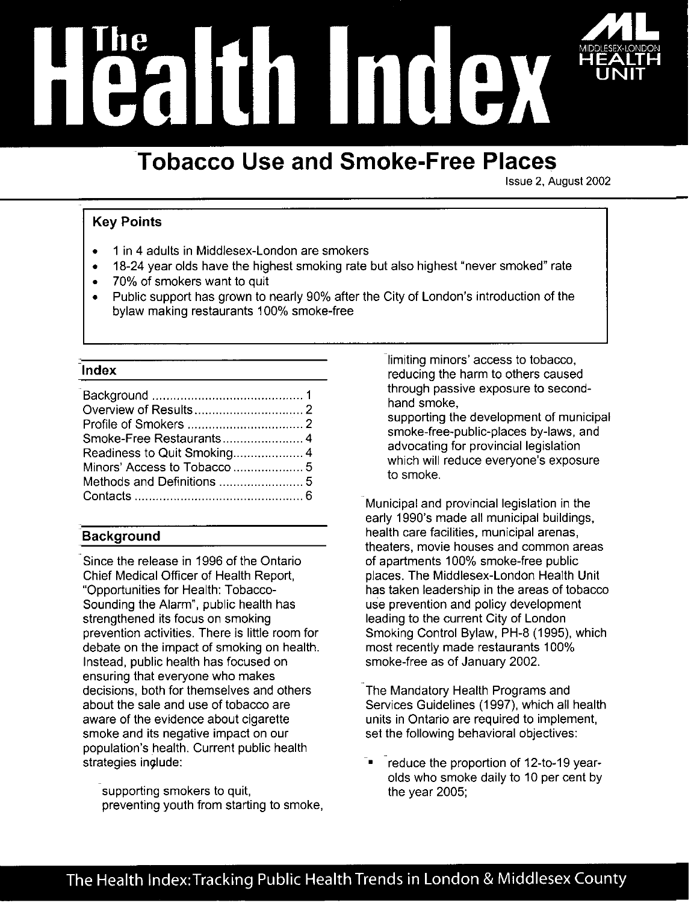# <u>II III III II</u>

# **Tobacco Use and Smoke-Free Places**

Issue 2, August 2002

# **Key Points**

- 1 in 4 adults in Middlesex-London are smokers
- 18-24 year olds have the highest smoking rate but also highest "never smoked" rate
- 70% of smokers want to quit
- Public support has grown to nearly 90% after the City of London's introduction of the bylaw making restaurants 100% smoke-free

# Index

# **Background**

Since the release in 1996 of the Ontario Chief Medical Officer of Health Report, "Opportunities for Health: Tobacco-Sounding the Alarm", public health has strengthened its focus on smoking prevention activities. There is little room for debate on the impact of smoking on health. Instead, public health has focused on ensuring that everyone who makes decisions, both for themselves and others about the sale and use of tobacco are aware of the evidence about cigarette smoke and its negative impact on our population's health. Current public health strategies include:

supporting smokers to quit, preventing youth from starting to smoke, limiting minors' access to tobacco, reducing the harm to others caused through passive exposure to secondhand smoke,

supporting the development of municipal smoke-free-public-places by-laws, and advocating for provincial legislation which will reduce everyone's exposure to smoke.

Municipal and provincial legislation in the early 1990's made all municipal buildings, health care facilities, municipal arenas, theaters, movie houses and common areas of apartments 100% smoke-free public places. The Middlesex-London Health Unit has taken leadership in the areas of tobacco use prevention and policy development leading to the current City of London Smoking Control Bylaw, PH-8 (1995), which most recently made restaurants 100% smoke-free as of January 2002.

The Mandatory Health Programs and Services Guidelines (1997), which all health units in Ontario are required to implement, set the following behavioral objectives:

reduce the proportion of 12-to-19 yearolds who smoke daily to 10 per cent by the year 2005;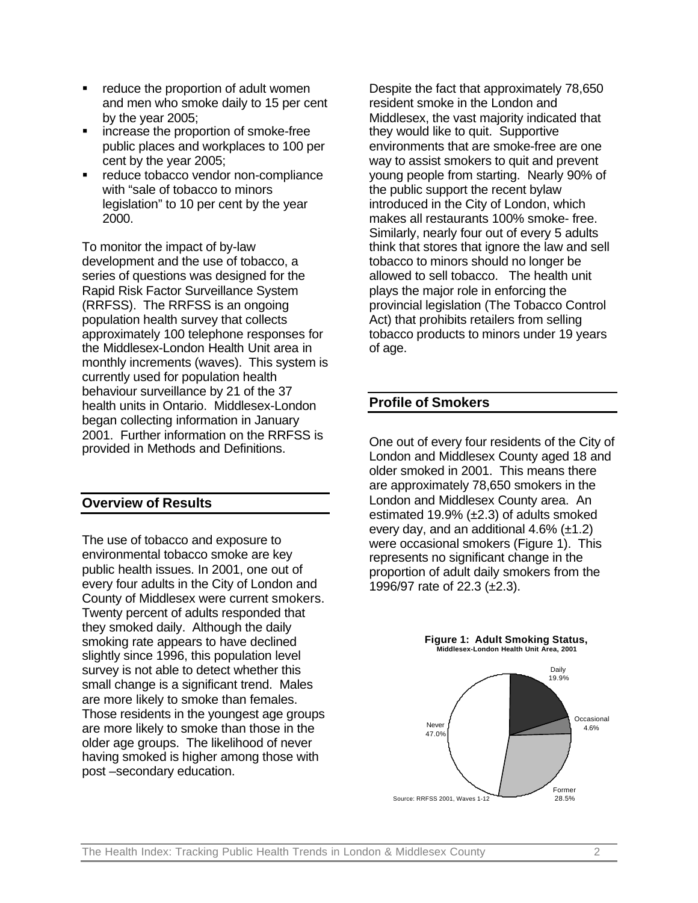- ß reduce the proportion of adult women and men who smoke daily to 15 per cent by the year 2005;
- ß increase the proportion of smoke-free public places and workplaces to 100 per cent by the year 2005;
- reduce tobacco vendor non-compliance with "sale of tobacco to minors legislation" to 10 per cent by the year 2000.

To monitor the impact of by-law development and the use of tobacco, a series of questions was designed for the Rapid Risk Factor Surveillance System (RRFSS). The RRFSS is an ongoing population health survey that collects approximately 100 telephone responses for the Middlesex-London Health Unit area in monthly increments (waves). This system is currently used for population health behaviour surveillance by 21 of the 37 health units in Ontario. Middlesex-London began collecting information in January 2001. Further information on the RRFSS is provided in Methods and Definitions.

# **Overview of Results**

The use of tobacco and exposure to environmental tobacco smoke are key public health issues. In 2001, one out of every four adults in the City of London and County of Middlesex were current smokers. Twenty percent of adults responded that they smoked daily. Although the daily smoking rate appears to have declined slightly since 1996, this population level survey is not able to detect whether this small change is a significant trend. Males are more likely to smoke than females. Those residents in the youngest age groups are more likely to smoke than those in the older age groups. The likelihood of never having smoked is higher among those with post –secondary education.

Despite the fact that approximately 78,650 resident smoke in the London and Middlesex, the vast majority indicated that they would like to quit. Supportive environments that are smoke-free are one way to assist smokers to quit and prevent young people from starting. Nearly 90% of the public support the recent bylaw introduced in the City of London, which makes all restaurants 100% smoke- free. Similarly, nearly four out of every 5 adults think that stores that ignore the law and sell tobacco to minors should no longer be allowed to sell tobacco. The health unit plays the major role in enforcing the provincial legislation (The Tobacco Control Act) that prohibits retailers from selling tobacco products to minors under 19 years of age.

# **Profile of Smokers**

One out of every four residents of the City of London and Middlesex County aged 18 and older smoked in 2001. This means there are approximately 78,650 smokers in the London and Middlesex County area. An estimated 19.9%  $(\pm 2.3)$  of adults smoked every day, and an additional 4.6% (±1.2) were occasional smokers (Figure 1). This represents no significant change in the proportion of adult daily smokers from the 1996/97 rate of 22.3 (±2.3).

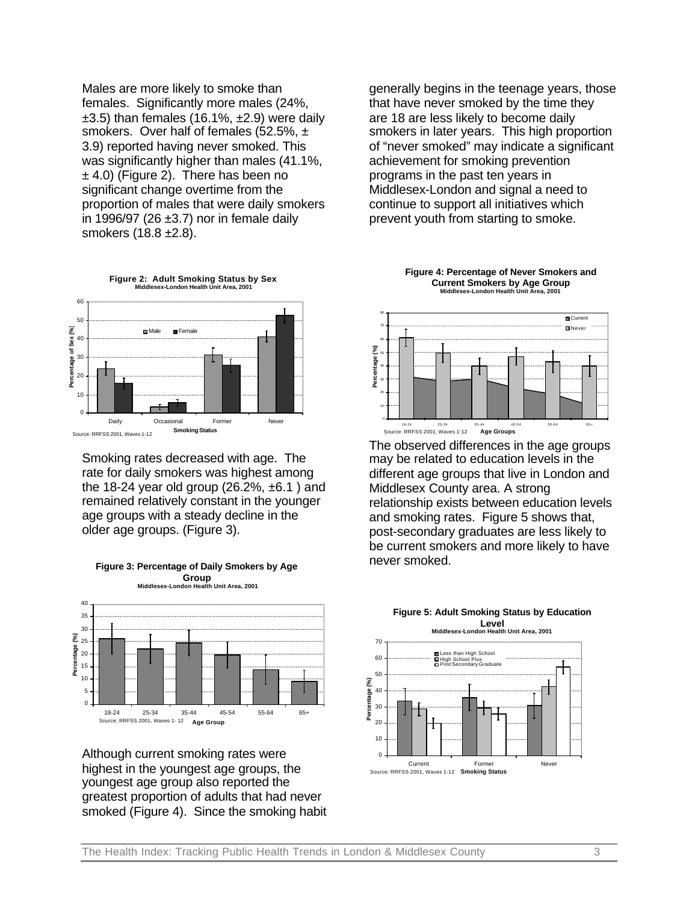Males are more likely to smoke than females. Significantly more males (24%,  $\pm$ 3.5) than females (16.1%,  $\pm$ 2.9) were daily smokers. Over half of females (52.5%, ± 3.9) reported having never smoked. This was significantly higher than males (41.1%,  $±$  4.0) (Figure 2). There has been no significant change overtime from the proportion of males that were daily smokers in 1996/97 (26  $\pm$ 3.7) nor in female daily smokers (18.8 ±2.8).



Smoking rates decreased with age. The rate for daily smokers was highest among the 18-24 year old group  $(26.2\% , \pm 6.1)$  and remained relatively constant in the younger age groups with a steady decline in the older age groups. (Figure 3).



Although current smoking rates were highest in the youngest age groups, the youngest age group also reported the greatest proportion of adults that had never smoked (Figure 4). Since the smoking habit generally begins in the teenage years, those that have never smoked by the time they are 18 are less likely to become daily smokers in later years. This high proportion of "never smoked" may indicate a significant achievement for smoking prevention programs in the past ten years in Middlesex-London and signal a need to continue to support all initiatives which prevent youth from starting to smoke.





The observed differences in the age groups may be related to education levels in the different age groups that live in London and Middlesex County area. A strong relationship exists between education levels and smoking rates. Figure 5 shows that, post-secondary graduates are less likely to be current smokers and more likely to have never smoked.



### **Figure 3: Percentage of Daily Smokers by Age Group Middlesex-London Health Unit Area, 2001**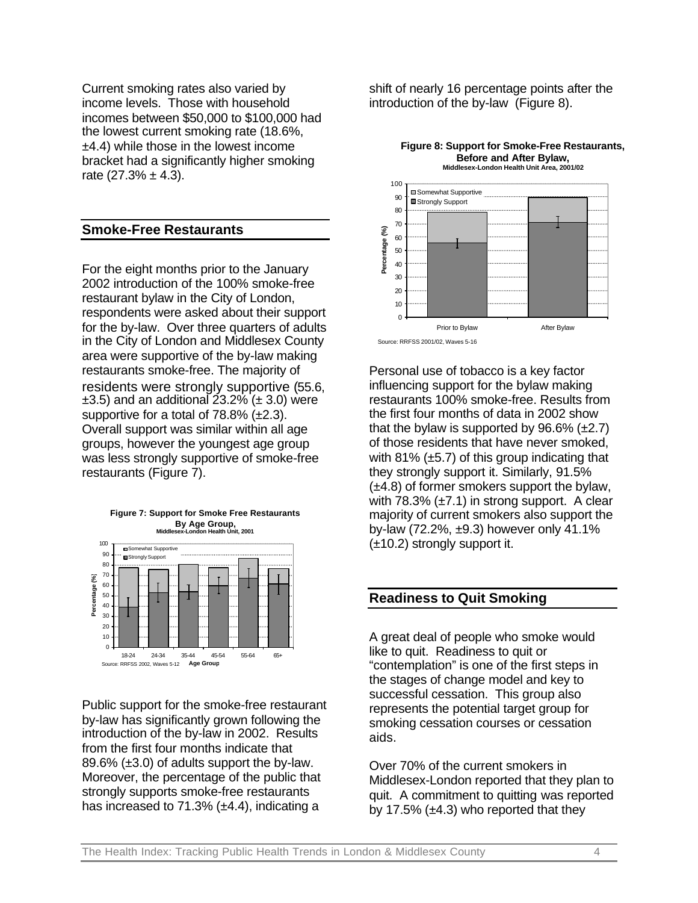Current smoking rates also varied by income levels. Those with household incomes between \$50,000 to \$100,000 had the lowest current smoking rate (18.6%, ±4.4) while those in the lowest income bracket had a significantly higher smoking rate  $(27.3\% \pm 4.3)$ .

# **Smoke-Free Restaurants**

For the eight months prior to the January 2002 introduction of the 100% smoke-free restaurant bylaw in the City of London, respondents were asked about their support for the by-law. Over three quarters of adults in the City of London and Middlesex County area were supportive of the by-law making restaurants smoke-free. The majority of residents were strongly supportive (55.6,  $\pm$ 3.5) and an additional 23.2% ( $\pm$  3.0) were supportive for a total of 78.8% (±2.3). Overall support was similar within all age groups, however the youngest age group was less strongly supportive of smoke-free restaurants (Figure 7).





Public support for the smoke-free restaurant by-law has significantly grown following the introduction of the by-law in 2002. Results from the first four months indicate that 89.6% (±3.0) of adults support the by-law. Moreover, the percentage of the public that strongly supports smoke-free restaurants has increased to 71.3%  $(\pm 4.4)$ , indicating a

shift of nearly 16 percentage points after the introduction of the by-law (Figure 8).

**Figure 8: Support for Smoke-Free Restaurants,** 



Personal use of tobacco is a key factor influencing support for the bylaw making restaurants 100% smoke-free. Results from the first four months of data in 2002 show that the bylaw is supported by  $96.6\%$  ( $\pm 2.7$ ) of those residents that have never smoked, with  $81\%$  ( $\pm$ 5.7) of this group indicating that they strongly support it. Similarly, 91.5% (±4.8) of former smokers support the bylaw, with  $78.3\%$  ( $\pm 7.1$ ) in strong support. A clear majority of current smokers also support the by-law (72.2%, ±9.3) however only 41.1% (±10.2) strongly support it.

# **Readiness to Quit Smoking**

A great deal of people who smoke would like to quit. Readiness to quit or "contemplation" is one of the first steps in the stages of change model and key to successful cessation. This group also represents the potential target group for smoking cessation courses or cessation aids.

Over 70% of the current smokers in Middlesex-London reported that they plan to quit. A commitment to quitting was reported by 17.5%  $(\pm 4.3)$  who reported that they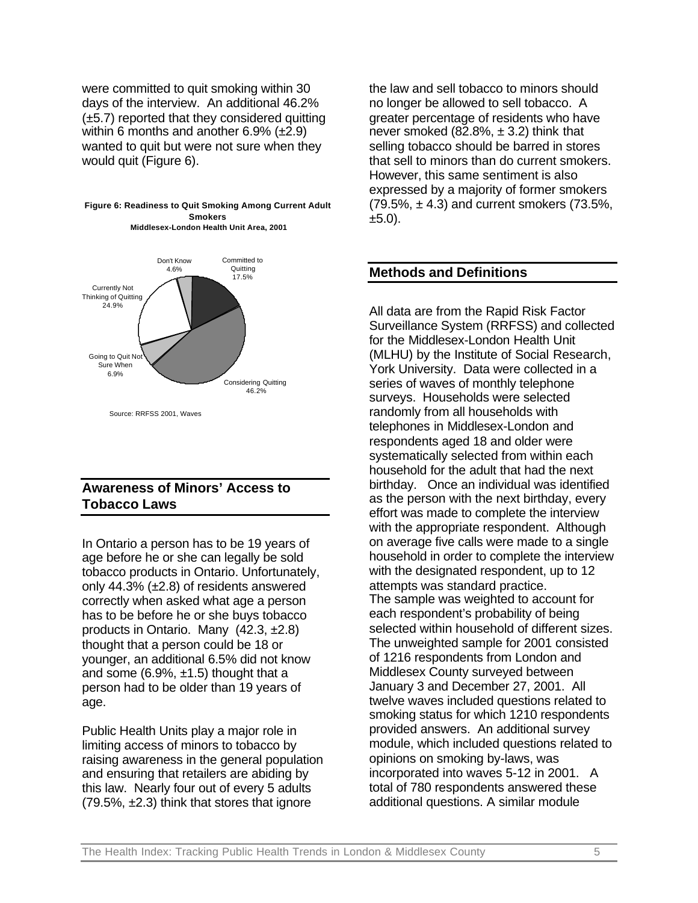were committed to quit smoking within 30 days of the interview. An additional 46.2%  $(\pm 5.7)$  reported that they considered quitting within 6 months and another 6.9% (±2.9) wanted to quit but were not sure when they would quit (Figure 6).



**Figure 6: Readiness to Quit Smoking Among Current Adult Smokers Middlesex-London Health Unit Area, 2001**

# **Awareness of Minors' Access to Tobacco Laws**

In Ontario a person has to be 19 years of age before he or she can legally be sold tobacco products in Ontario. Unfortunately, only 44.3% (±2.8) of residents answered correctly when asked what age a person has to be before he or she buys tobacco products in Ontario. Many (42.3, ±2.8) thought that a person could be 18 or younger, an additional 6.5% did not know and some  $(6.9\% , \pm 1.5)$  thought that a person had to be older than 19 years of age.

Public Health Units play a major role in limiting access of minors to tobacco by raising awareness in the general population and ensuring that retailers are abiding by this law. Nearly four out of every 5 adults (79.5%, ±2.3) think that stores that ignore

the law and sell tobacco to minors should no longer be allowed to sell tobacco. A greater percentage of residents who have never smoked (82.8%,  $\pm$  3.2) think that selling tobacco should be barred in stores that sell to minors than do current smokers. However, this same sentiment is also expressed by a majority of former smokers  $(79.5\%, \pm 4.3)$  and current smokers  $(73.5\%, \pm 4.3)$  $±5.0$ ).

# **Methods and Definitions**

All data are from the Rapid Risk Factor Surveillance System (RRFSS) and collected for the Middlesex-London Health Unit (MLHU) by the Institute of Social Research, York University. Data were collected in a series of waves of monthly telephone surveys. Households were selected randomly from all households with telephones in Middlesex-London and respondents aged 18 and older were systematically selected from within each household for the adult that had the next birthday. Once an individual was identified as the person with the next birthday, every effort was made to complete the interview with the appropriate respondent. Although on average five calls were made to a single household in order to complete the interview with the designated respondent, up to 12 attempts was standard practice. The sample was weighted to account for each respondent's probability of being selected within household of different sizes. The unweighted sample for 2001 consisted of 1216 respondents from London and Middlesex County surveyed between January 3 and December 27, 2001. All twelve waves included questions related to smoking status for which 1210 respondents provided answers. An additional survey module, which included questions related to opinions on smoking by-laws, was incorporated into waves 5-12 in 2001. A total of 780 respondents answered these additional questions. A similar module